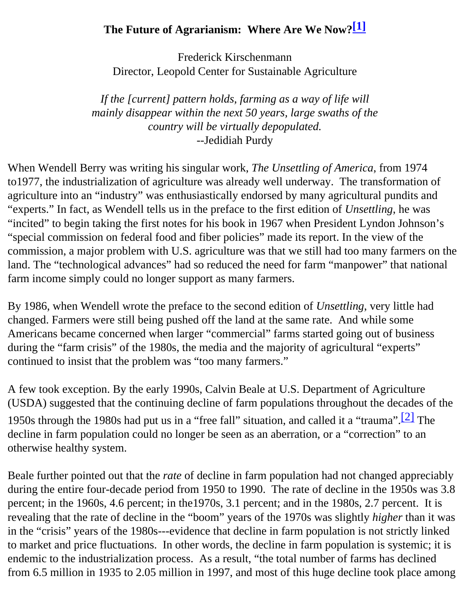# <span id="page-0-0"></span>**The Future of Agrarianism: Where Are We Now[?\[1\]](#page-13-0)**

Frederick Kirschenmann Director, Leopold Center for Sustainable Agriculture

*If the [current] pattern holds, farming as a way of life will mainly disappear within the next 50 years, large swaths of the country will be virtually depopulated.*  --Jedidiah Purdy

When Wendell Berry was writing his singular work, *The Unsettling of America*, from 1974 to1977, the industrialization of agriculture was already well underway. The transformation of agriculture into an "industry" was enthusiastically endorsed by many agricultural pundits and "experts." In fact, as Wendell tells us in the preface to the first edition of *Unsettling*, he was "incited" to begin taking the first notes for his book in 1967 when President Lyndon Johnson's "special commission on federal food and fiber policies" made its report. In the view of the commission, a major problem with U.S. agriculture was that we still had too many farmers on the land. The "technological advances" had so reduced the need for farm "manpower" that national farm income simply could no longer support as many farmers.

By 1986, when Wendell wrote the preface to the second edition of *Unsettling*, very little had changed. Farmers were still being pushed off the land at the same rate. And while some Americans became concerned when larger "commercial" farms started going out of business during the "farm crisis" of the 1980s, the media and the majority of agricultural "experts" continued to insist that the problem was "too many farmers."

A few took exception. By the early 1990s, Calvin Beale at U.S. Department of Agriculture (USDA) suggested that the continuing decline of farm populations throughout the decades of the 1950s through the 1980s had put us in a "free fall" situation, and called it a "trauma"[.\[2\]](#page-13-1) The decline in farm population could no longer be seen as an aberration, or a "correction" to an otherwise healthy system.

Beale further pointed out that the *rate* of decline in farm population had not changed appreciably during the entire four-decade period from 1950 to 1990. The rate of decline in the 1950s was 3.8 percent; in the 1960s, 4.6 percent; in the1970s, 3.1 percent; and in the 1980s, 2.7 percent. It is revealing that the rate of decline in the "boom" years of the 1970s was slightly *higher* than it was in the "crisis" years of the 1980s---evidence that decline in farm population is not strictly linked to market and price fluctuations. In other words, the decline in farm population is systemic; it is endemic to the industrialization process. As a result, "the total number of farms has declined from 6.5 million in 1935 to 2.05 million in 1997, and most of this huge decline took place among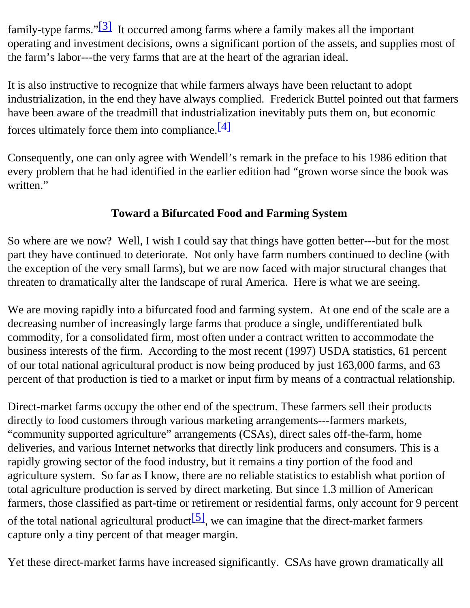family-type farms." $\frac{3}{3}$  It occurred among farms where a family makes all the important operating and investment decisions, owns a significant portion of the assets, and supplies most of the farm's labor---the very farms that are at the heart of the agrarian ideal.

It is also instructive to recognize that while farmers always have been reluctant to adopt industrialization, in the end they have always complied. Frederick Buttel pointed out that farmers have been aware of the treadmill that industrialization inevitably puts them on, but economic forces ultimately force them into compliance.<sup>[4]</sup>

<span id="page-1-0"></span>Consequently, one can only agree with Wendell's remark in the preface to his 1986 edition that every problem that he had identified in the earlier edition had "grown worse since the book was written."

# **Toward a Bifurcated Food and Farming System**

So where are we now? Well, I wish I could say that things have gotten better---but for the most part they have continued to deteriorate. Not only have farm numbers continued to decline (with the exception of the very small farms), but we are now faced with major structural changes that threaten to dramatically alter the landscape of rural America. Here is what we are seeing.

We are moving rapidly into a bifurcated food and farming system. At one end of the scale are a decreasing number of increasingly large farms that produce a single, undifferentiated bulk commodity, for a consolidated firm, most often under a contract written to accommodate the business interests of the firm. According to the most recent (1997) USDA statistics, 61 percent of our total national agricultural product is now being produced by just 163,000 farms, and 63 percent of that production is tied to a market or input firm by means of a contractual relationship.

Direct-market farms occupy the other end of the spectrum. These farmers sell their products directly to food customers through various marketing arrangements---farmers markets, "community supported agriculture" arrangements (CSAs), direct sales off-the-farm, home deliveries, and various Internet networks that directly link producers and consumers. This is a rapidly growing sector of the food industry, but it remains a tiny portion of the food and agriculture system. So far as I know, there are no reliable statistics to establish what portion of total agriculture production is served by direct marketing. But since 1.3 million of American farmers, those classified as part-time or retirement or residential farms, only account for 9 percent of the total national agricultural product<sup>[\[5\]](#page-13-4)</sup>, we can imagine that the direct-market farmers capture only a tiny percent of that meager margin.

<span id="page-1-1"></span>Yet these direct-market farms have increased significantly. CSAs have grown dramatically all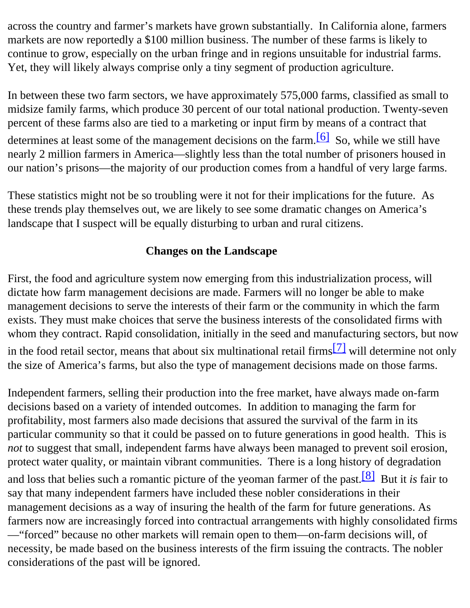across the country and farmer's markets have grown substantially. In California alone, farmers markets are now reportedly a \$100 million business. The number of these farms is likely to continue to grow, especially on the urban fringe and in regions unsuitable for industrial farms. Yet, they will likely always comprise only a tiny segment of production agriculture.

In between these two farm sectors, we have approximately 575,000 farms, classified as small to midsize family farms, which produce 30 percent of our total national production. Twenty-seven percent of these farms also are tied to a marketing or input firm by means of a contract that determines at least some of the management decisions on the farm.  $\boxed{6}$  So, while we still have nearly 2 million farmers in America—slightly less than the total number of prisoners housed in our nation's prisons—the majority of our production comes from a handful of very large farms.

<span id="page-2-0"></span>These statistics might not be so troubling were it not for their implications for the future. As these trends play themselves out, we are likely to see some dramatic changes on America's landscape that I suspect will be equally disturbing to urban and rural citizens.

# **Changes on the Landscape**

First, the food and agriculture system now emerging from this industrialization process, will dictate how farm management decisions are made. Farmers will no longer be able to make management decisions to serve the interests of their farm or the community in which the farm exists. They must make choices that serve the business interests of the consolidated firms with whom they contract. Rapid consolidation, initially in the seed and manufacturing sectors, but now in the food retail sector, means that about six multinational retail firms  $\boxed{7}$  will determine not only the size of America's farms, but also the type of management decisions made on those farms.

<span id="page-2-2"></span><span id="page-2-1"></span>Independent farmers, selling their production into the free market, have always made on-farm decisions based on a variety of intended outcomes. In addition to managing the farm for profitability, most farmers also made decisions that assured the survival of the farm in its particular community so that it could be passed on to future generations in good health. This is *not* to suggest that small, independent farms have always been managed to prevent soil erosion, protect water quality, or maintain vibrant communities. There is a long history of degradation and loss that belies such a romantic picture of the yeoman farmer of the past[.\[8\]](#page-14-0) But it *is* fair to say that many independent farmers have included these nobler considerations in their management decisions as a way of insuring the health of the farm for future generations. As farmers now are increasingly forced into contractual arrangements with highly consolidated firms —"forced" because no other markets will remain open to them—on-farm decisions will, of necessity, be made based on the business interests of the firm issuing the contracts. The nobler considerations of the past will be ignored.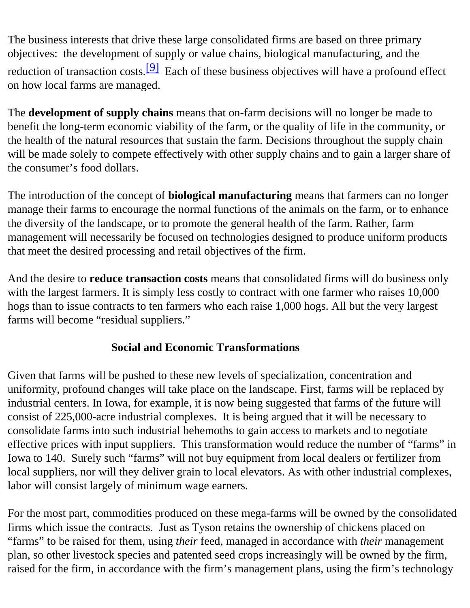The business interests that drive these large consolidated firms are based on three primary objectives: the development of supply or value chains, biological manufacturing, and the reduction of transaction costs.<sup>[\[9\]](#page-14-1)</sup> Each of these business objectives will have a profound effect on how local farms are managed.

<span id="page-3-0"></span>The **development of supply chains** means that on-farm decisions will no longer be made to benefit the long-term economic viability of the farm, or the quality of life in the community, or the health of the natural resources that sustain the farm. Decisions throughout the supply chain will be made solely to compete effectively with other supply chains and to gain a larger share of the consumer's food dollars.

The introduction of the concept of **biological manufacturing** means that farmers can no longer manage their farms to encourage the normal functions of the animals on the farm, or to enhance the diversity of the landscape, or to promote the general health of the farm. Rather, farm management will necessarily be focused on technologies designed to produce uniform products that meet the desired processing and retail objectives of the firm.

And the desire to **reduce transaction costs** means that consolidated firms will do business only with the largest farmers. It is simply less costly to contract with one farmer who raises 10,000 hogs than to issue contracts to ten farmers who each raise 1,000 hogs. All but the very largest farms will become "residual suppliers."

# **Social and Economic Transformations**

Given that farms will be pushed to these new levels of specialization, concentration and uniformity, profound changes will take place on the landscape. First, farms will be replaced by industrial centers. In Iowa, for example, it is now being suggested that farms of the future will consist of 225,000-acre industrial complexes. It is being argued that it will be necessary to consolidate farms into such industrial behemoths to gain access to markets and to negotiate effective prices with input suppliers. This transformation would reduce the number of "farms" in Iowa to 140. Surely such "farms" will not buy equipment from local dealers or fertilizer from local suppliers, nor will they deliver grain to local elevators. As with other industrial complexes, labor will consist largely of minimum wage earners.

For the most part, commodities produced on these mega-farms will be owned by the consolidated firms which issue the contracts. Just as Tyson retains the ownership of chickens placed on "farms" to be raised for them, using *their* feed, managed in accordance with *their* management plan, so other livestock species and patented seed crops increasingly will be owned by the firm, raised for the firm, in accordance with the firm's management plans, using the firm's technology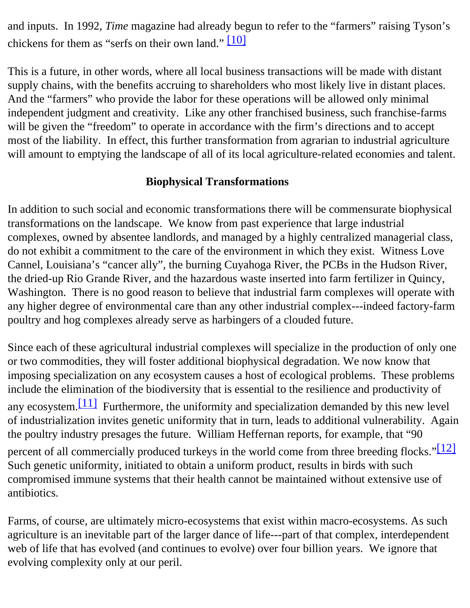and inputs. In 1992, *Time* magazine had already begun to refer to the "farmers" raising Tyson's chickens for them as "serfs on their own land."  $\boxed{10}$ 

<span id="page-4-0"></span>This is a future, in other words, where all local business transactions will be made with distant supply chains, with the benefits accruing to shareholders who most likely live in distant places. And the "farmers" who provide the labor for these operations will be allowed only minimal independent judgment and creativity. Like any other franchised business, such franchise-farms will be given the "freedom" to operate in accordance with the firm's directions and to accept most of the liability. In effect, this further transformation from agrarian to industrial agriculture will amount to emptying the landscape of all of its local agriculture-related economies and talent.

### **Biophysical Transformations**

In addition to such social and economic transformations there will be commensurate biophysical transformations on the landscape. We know from past experience that large industrial complexes, owned by absentee landlords, and managed by a highly centralized managerial class, do not exhibit a commitment to the care of the environment in which they exist. Witness Love Cannel, Louisiana's "cancer ally", the burning Cuyahoga River, the PCBs in the Hudson River, the dried-up Rio Grande River, and the hazardous waste inserted into farm fertilizer in Quincy, Washington. There is no good reason to believe that industrial farm complexes will operate with any higher degree of environmental care than any other industrial complex---indeed factory-farm poultry and hog complexes already serve as harbingers of a clouded future.

<span id="page-4-1"></span>Since each of these agricultural industrial complexes will specialize in the production of only one or two commodities, they will foster additional biophysical degradation. We now know that imposing specialization on any ecosystem causes a host of ecological problems. These problems include the elimination of the biodiversity that is essential to the resilience and productivity of any ecosystem. $\boxed{11}$  Furthermore, the uniformity and specialization demanded by this new level of industrialization invites genetic uniformity that in turn, leads to additional vulnerability. Again the poultry industry presages the future. William Heffernan reports, for example, that "90 percent of all commercially produced turkeys in the world come from three breeding flocks." $[12]$ Such genetic uniformity, initiated to obtain a uniform product, results in birds with such compromised immune systems that their health cannot be maintained without extensive use of antibiotics.

<span id="page-4-2"></span>Farms, of course, are ultimately micro-ecosystems that exist within macro-ecosystems. As such agriculture is an inevitable part of the larger dance of life---part of that complex, interdependent web of life that has evolved (and continues to evolve) over four billion years. We ignore that evolving complexity only at our peril.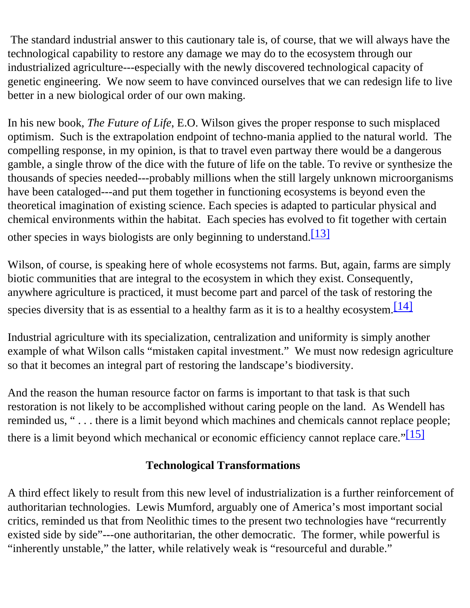The standard industrial answer to this cautionary tale is, of course, that we will always have the technological capability to restore any damage we may do to the ecosystem through our industrialized agriculture---especially with the newly discovered technological capacity of genetic engineering. We now seem to have convinced ourselves that we can redesign life to live better in a new biological order of our own making.

In his new book, *The Future of Life*, E.O. Wilson gives the proper response to such misplaced optimism. Such is the extrapolation endpoint of techno-mania applied to the natural world. The compelling response, in my opinion, is that to travel even partway there would be a dangerous gamble, a single throw of the dice with the future of life on the table. To revive or synthesize the thousands of species needed---probably millions when the still largely unknown microorganisms have been cataloged---and put them together in functioning ecosystems is beyond even the theoretical imagination of existing science. Each species is adapted to particular physical and chemical environments within the habitat. Each species has evolved to fit together with certain other species in ways biologists are only beginning to understand. [13]

<span id="page-5-0"></span>Wilson, of course, is speaking here of whole ecosystems not farms. But, again, farms are simply biotic communities that are integral to the ecosystem in which they exist. Consequently, anywhere agriculture is practiced, it must become part and parcel of the task of restoring the species diversity that is as essential to a healthy farm as it is to a healthy ecosystem.  $[14]$ 

<span id="page-5-1"></span>Industrial agriculture with its specialization, centralization and uniformity is simply another example of what Wilson calls "mistaken capital investment." We must now redesign agriculture so that it becomes an integral part of restoring the landscape's biodiversity.

And the reason the human resource factor on farms is important to that task is that such restoration is not likely to be accomplished without caring people on the land. As Wendell has reminded us, "... there is a limit beyond which machines and chemicals cannot replace people; there is a limit beyond which mechanical or economic efficiency cannot replace care." $[15]$ 

# **Technological Transformations**

<span id="page-5-2"></span>A third effect likely to result from this new level of industrialization is a further reinforcement of authoritarian technologies. Lewis Mumford, arguably one of America's most important social critics, reminded us that from Neolithic times to the present two technologies have "recurrently existed side by side"---one authoritarian, the other democratic. The former, while powerful is "inherently unstable," the latter, while relatively weak is "resourceful and durable."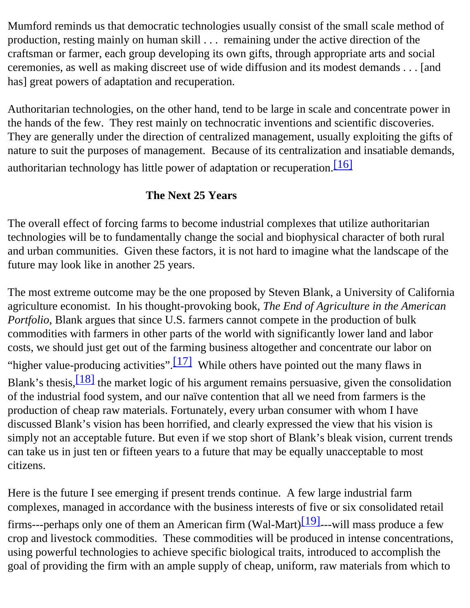Mumford reminds us that democratic technologies usually consist of the small scale method of production, resting mainly on human skill . . . remaining under the active direction of the craftsman or farmer, each group developing its own gifts, through appropriate arts and social ceremonies, as well as making discreet use of wide diffusion and its modest demands . . . [and has] great powers of adaptation and recuperation.

Authoritarian technologies, on the other hand, tend to be large in scale and concentrate power in the hands of the few. They rest mainly on technocratic inventions and scientific discoveries. They are generally under the direction of centralized management, usually exploiting the gifts of nature to suit the purposes of management. Because of its centralization and insatiable demands, authoritarian technology has little power of adaptation or recuperation.  $[16]$ 

## **The Next 25 Years**

<span id="page-6-0"></span>The overall effect of forcing farms to become industrial complexes that utilize authoritarian technologies will be to fundamentally change the social and biophysical character of both rural and urban communities. Given these factors, it is not hard to imagine what the landscape of the future may look like in another 25 years.

<span id="page-6-1"></span>The most extreme outcome may be the one proposed by Steven Blank, a University of California agriculture economist. In his thought-provoking book, *The End of Agriculture in the American Portfolio*, Blank argues that since U.S. farmers cannot compete in the production of bulk commodities with farmers in other parts of the world with significantly lower land and labor costs, we should just get out of the farming business altogether and concentrate our labor on "higher value-producing activities".  $[17]$  While others have pointed out the many flaws in Blank's thesis,  $\frac{18}{18}$  the market logic of his argument remains persuasive, given the consolidation of the industrial food system, and our naïve contention that all we need from farmers is the production of cheap raw materials. Fortunately, every urban consumer with whom I have discussed Blank's vision has been horrified, and clearly expressed the view that his vision is simply not an acceptable future. But even if we stop short of Blank's bleak vision, current trends can take us in just ten or fifteen years to a future that may be equally unacceptable to most citizens.

<span id="page-6-3"></span><span id="page-6-2"></span>Here is the future I see emerging if present trends continue. A few large industrial farm complexes, managed in accordance with the business interests of five or six consolidated retail firms---perhaps only one of them an American firm (Wal-Mart) $\frac{19}{19}$ --will mass produce a few crop and livestock commodities. These commodities will be produced in intense concentrations, using powerful technologies to achieve specific biological traits, introduced to accomplish the goal of providing the firm with an ample supply of cheap, uniform, raw materials from which to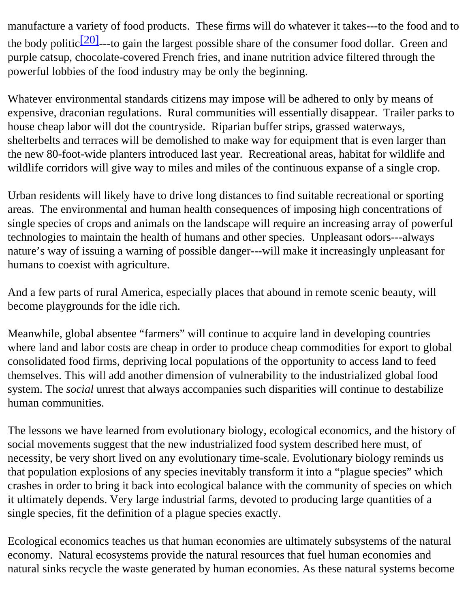<span id="page-7-0"></span>manufacture a variety of food products. These firms will do whatever it takes---to the food and to the body politic<sup>[20]</sup>---to gain the largest possible share of the consumer food dollar. Green and purple catsup, chocolate-covered French fries, and inane nutrition advice filtered through the powerful lobbies of the food industry may be only the beginning.

Whatever environmental standards citizens may impose will be adhered to only by means of expensive, draconian regulations. Rural communities will essentially disappear. Trailer parks to house cheap labor will dot the countryside. Riparian buffer strips, grassed waterways, shelterbelts and terraces will be demolished to make way for equipment that is even larger than the new 80-foot-wide planters introduced last year. Recreational areas, habitat for wildlife and wildlife corridors will give way to miles and miles of the continuous expanse of a single crop.

Urban residents will likely have to drive long distances to find suitable recreational or sporting areas. The environmental and human health consequences of imposing high concentrations of single species of crops and animals on the landscape will require an increasing array of powerful technologies to maintain the health of humans and other species. Unpleasant odors---always nature's way of issuing a warning of possible danger---will make it increasingly unpleasant for humans to coexist with agriculture.

And a few parts of rural America, especially places that abound in remote scenic beauty, will become playgrounds for the idle rich.

Meanwhile, global absentee "farmers" will continue to acquire land in developing countries where land and labor costs are cheap in order to produce cheap commodities for export to global consolidated food firms, depriving local populations of the opportunity to access land to feed themselves. This will add another dimension of vulnerability to the industrialized global food system. The *social* unrest that always accompanies such disparities will continue to destabilize human communities.

The lessons we have learned from evolutionary biology, ecological economics, and the history of social movements suggest that the new industrialized food system described here must, of necessity, be very short lived on any evolutionary time-scale. Evolutionary biology reminds us that population explosions of any species inevitably transform it into a "plague species" which crashes in order to bring it back into ecological balance with the community of species on which it ultimately depends. Very large industrial farms, devoted to producing large quantities of a single species, fit the definition of a plague species exactly.

Ecological economics teaches us that human economies are ultimately subsystems of the natural economy. Natural ecosystems provide the natural resources that fuel human economies and natural sinks recycle the waste generated by human economies. As these natural systems become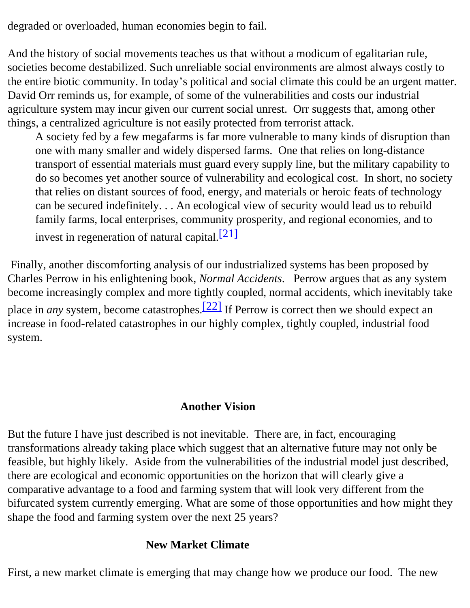degraded or overloaded, human economies begin to fail.

And the history of social movements teaches us that without a modicum of egalitarian rule, societies become destabilized. Such unreliable social environments are almost always costly to the entire biotic community. In today's political and social climate this could be an urgent matter. David Orr reminds us, for example, of some of the vulnerabilities and costs our industrial agriculture system may incur given our current social unrest. Orr suggests that, among other things, a centralized agriculture is not easily protected from terrorist attack.

A society fed by a few megafarms is far more vulnerable to many kinds of disruption than one with many smaller and widely dispersed farms. One that relies on long-distance transport of essential materials must guard every supply line, but the military capability to do so becomes yet another source of vulnerability and ecological cost. In short, no society that relies on distant sources of food, energy, and materials or heroic feats of technology can be secured indefinitely. . . An ecological view of security would lead us to rebuild family farms, local enterprises, community prosperity, and regional economies, and to invest in regeneration of natural capital. $[21]$ 

<span id="page-8-1"></span><span id="page-8-0"></span> Finally, another discomforting analysis of our industrialized systems has been proposed by Charles Perrow in his enlightening book, *Normal Accidents*. Perrow argues that as any system become increasingly complex and more tightly coupled, normal accidents, which inevitably take place in *any* system, become catastrophes.<sup>[22]</sup> If Perrow is correct then we should expect an increase in food-related catastrophes in our highly complex, tightly coupled, industrial food system.

#### **Another Vision**

But the future I have just described is not inevitable. There are, in fact, encouraging transformations already taking place which suggest that an alternative future may not only be feasible, but highly likely. Aside from the vulnerabilities of the industrial model just described, there are ecological and economic opportunities on the horizon that will clearly give a comparative advantage to a food and farming system that will look very different from the bifurcated system currently emerging. What are some of those opportunities and how might they shape the food and farming system over the next 25 years?

### **New Market Climate**

First, a new market climate is emerging that may change how we produce our food. The new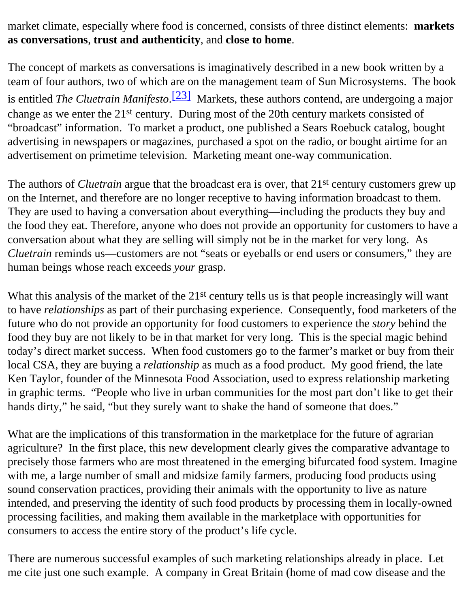market climate, especially where food is concerned, consists of three distinct elements: **markets as conversations**, **trust and authenticity**, and **close to home**.

<span id="page-9-0"></span>The concept of markets as conversations is imaginatively described in a new book written by a team of four authors, two of which are on the management team of Sun Microsystems. The book is entitled *The Cluetrain Manifesto*. [\[23\]](#page-14-15) Markets, these authors contend, are undergoing a major change as we enter the 21<sup>st</sup> century. During most of the 20th century markets consisted of "broadcast" information. To market a product, one published a Sears Roebuck catalog, bought advertising in newspapers or magazines, purchased a spot on the radio, or bought airtime for an advertisement on primetime television. Marketing meant one-way communication.

The authors of *Cluetrain* argue that the broadcast era is over, that 21<sup>st</sup> century customers grew up on the Internet, and therefore are no longer receptive to having information broadcast to them. They are used to having a conversation about everything—including the products they buy and the food they eat. Therefore, anyone who does not provide an opportunity for customers to have a conversation about what they are selling will simply not be in the market for very long. As *Cluetrain* reminds us—customers are not "seats or eyeballs or end users or consumers," they are human beings whose reach exceeds *your* grasp.

What this analysis of the market of the 21<sup>st</sup> century tells us is that people increasingly will want to have *relationships* as part of their purchasing experience. Consequently, food marketers of the future who do not provide an opportunity for food customers to experience the *story* behind the food they buy are not likely to be in that market for very long. This is the special magic behind today's direct market success. When food customers go to the farmer's market or buy from their local CSA, they are buying a *relationship* as much as a food product. My good friend, the late Ken Taylor, founder of the Minnesota Food Association, used to express relationship marketing in graphic terms. "People who live in urban communities for the most part don't like to get their hands dirty," he said, "but they surely want to shake the hand of someone that does."

What are the implications of this transformation in the marketplace for the future of agrarian agriculture? In the first place, this new development clearly gives the comparative advantage to precisely those farmers who are most threatened in the emerging bifurcated food system. Imagine with me, a large number of small and midsize family farmers, producing food products using sound conservation practices, providing their animals with the opportunity to live as nature intended, and preserving the identity of such food products by processing them in locally-owned processing facilities, and making them available in the marketplace with opportunities for consumers to access the entire story of the product's life cycle.

There are numerous successful examples of such marketing relationships already in place. Let me cite just one such example. A company in Great Britain (home of mad cow disease and the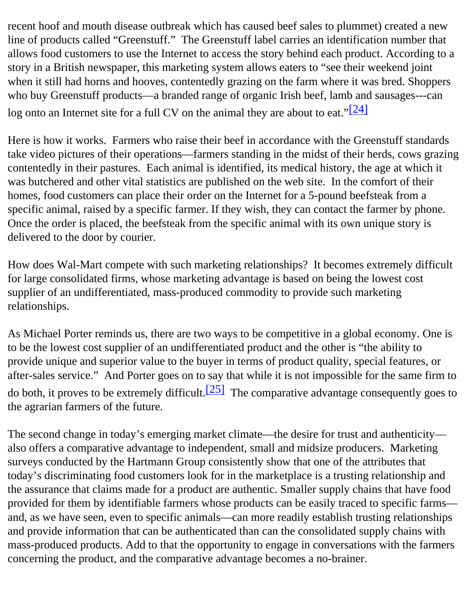recent hoof and mouth disease outbreak which has caused beef sales to plummet) created a new line of products called "Greenstuff." The Greenstuff label carries an identification number that allows food customers to use the Internet to access the story behind each product. According to a story in a British newspaper, this marketing system allows eaters to "see their weekend joint when it still had horns and hooves, contentedly grazing on the farm where it was bred. Shoppers who buy Greenstuff products—a branded range of organic Irish beef, lamb and sausages---can log onto an Internet site for a full CV on the animal they are about to eat." $[24]$ 

<span id="page-10-0"></span>Here is how it works. Farmers who raise their beef in accordance with the Greenstuff standards take video pictures of their operations—farmers standing in the midst of their herds, cows grazing contentedly in their pastures. Each animal is identified, its medical history, the age at which it was butchered and other vital statistics are published on the web site. In the comfort of their homes, food customers can place their order on the Internet for a 5-pound beefsteak from a specific animal, raised by a specific farmer. If they wish, they can contact the farmer by phone. Once the order is placed, the beefsteak from the specific animal with its own unique story is delivered to the door by courier.

How does Wal-Mart compete with such marketing relationships? It becomes extremely difficult for large consolidated firms, whose marketing advantage is based on being the lowest cost supplier of an undifferentiated, mass-produced commodity to provide such marketing relationships.

As Michael Porter reminds us, there are two ways to be competitive in a global economy. One is to be the lowest cost supplier of an undifferentiated product and the other is "the ability to provide unique and superior value to the buyer in terms of product quality, special features, or after-sales service." And Porter goes on to say that while it is not impossible for the same firm to do both, it proves to be extremely difficult.<sup>[\[25\]](#page-14-17)</sup> The comparative advantage consequently goes to the agrarian farmers of the future.

<span id="page-10-1"></span>The second change in today's emerging market climate—the desire for trust and authenticity also offers a comparative advantage to independent, small and midsize producers. Marketing surveys conducted by the Hartmann Group consistently show that one of the attributes that today's discriminating food customers look for in the marketplace is a trusting relationship and the assurance that claims made for a product are authentic. Smaller supply chains that have food provided for them by identifiable farmers whose products can be easily traced to specific farms and, as we have seen, even to specific animals—can more readily establish trusting relationships and provide information that can be authenticated than can the consolidated supply chains with mass-produced products. Add to that the opportunity to engage in conversations with the farmers concerning the product, and the comparative advantage becomes a no-brainer.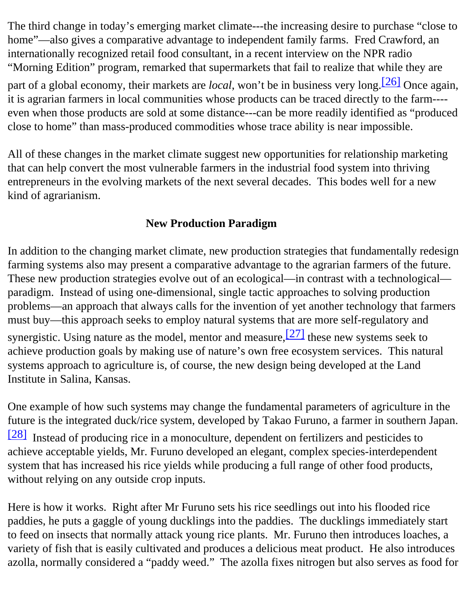The third change in today's emerging market climate---the increasing desire to purchase "close to home"—also gives a comparative advantage to independent family farms. Fred Crawford, an internationally recognized retail food consultant, in a recent interview on the NPR radio "Morning Edition" program, remarked that supermarkets that fail to realize that while they are part of a global economy, their markets are *local*, won't be in business very long.<sup>[26]</sup> Once again, it is agrarian farmers in local communities whose products can be traced directly to the farm--- even when those products are sold at some distance---can be more readily identified as "produced close to home" than mass-produced commodities whose trace ability is near impossible.

<span id="page-11-0"></span>All of these changes in the market climate suggest new opportunities for relationship marketing that can help convert the most vulnerable farmers in the industrial food system into thriving entrepreneurs in the evolving markets of the next several decades. This bodes well for a new kind of agrarianism.

# **New Production Paradigm**

In addition to the changing market climate, new production strategies that fundamentally redesign farming systems also may present a comparative advantage to the agrarian farmers of the future. These new production strategies evolve out of an ecological—in contrast with a technological paradigm. Instead of using one-dimensional, single tactic approaches to solving production problems—an approach that always calls for the invention of yet another technology that farmers must buy—this approach seeks to employ natural systems that are more self-regulatory and synergistic. Using nature as the model, mentor and measure,  $[27]$  these new systems seek to achieve production goals by making use of nature's own free ecosystem services. This natural systems approach to agriculture is, of course, the new design being developed at the Land Institute in Salina, Kansas.

<span id="page-11-2"></span><span id="page-11-1"></span>One example of how such systems may change the fundamental parameters of agriculture in the future is the integrated duck/rice system, developed by Takao Furuno, a farmer in southern Japan. [\[28\]](#page-14-20) Instead of producing rice in a monoculture, dependent on fertilizers and pesticides to achieve acceptable yields, Mr. Furuno developed an elegant, complex species-interdependent system that has increased his rice yields while producing a full range of other food products, without relying on any outside crop inputs.

Here is how it works. Right after Mr Furuno sets his rice seedlings out into his flooded rice paddies, he puts a gaggle of young ducklings into the paddies. The ducklings immediately start to feed on insects that normally attack young rice plants. Mr. Furuno then introduces loaches, a variety of fish that is easily cultivated and produces a delicious meat product. He also introduces azolla, normally considered a "paddy weed." The azolla fixes nitrogen but also serves as food for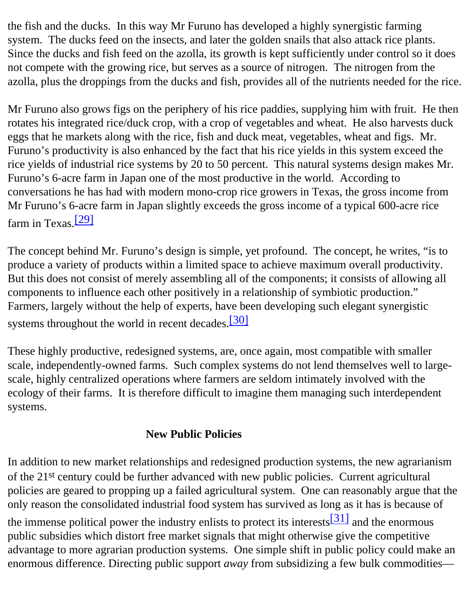the fish and the ducks. In this way Mr Furuno has developed a highly synergistic farming system. The ducks feed on the insects, and later the golden snails that also attack rice plants. Since the ducks and fish feed on the azolla, its growth is kept sufficiently under control so it does not compete with the growing rice, but serves as a source of nitrogen. The nitrogen from the azolla, plus the droppings from the ducks and fish, provides all of the nutrients needed for the rice.

Mr Furuno also grows figs on the periphery of his rice paddies, supplying him with fruit. He then rotates his integrated rice/duck crop, with a crop of vegetables and wheat. He also harvests duck eggs that he markets along with the rice, fish and duck meat, vegetables, wheat and figs. Mr. Furuno's productivity is also enhanced by the fact that his rice yields in this system exceed the rice yields of industrial rice systems by 20 to 50 percent. This natural systems design makes Mr. Furuno's 6-acre farm in Japan one of the most productive in the world. According to conversations he has had with modern mono-crop rice growers in Texas, the gross income from Mr Furuno's 6-acre farm in Japan slightly exceeds the gross income of a typical 600-acre rice farm in Texas.<sup>[29]</sup>

<span id="page-12-0"></span>The concept behind Mr. Furuno's design is simple, yet profound. The concept, he writes, "is to produce a variety of products within a limited space to achieve maximum overall productivity. But this does not consist of merely assembling all of the components; it consists of allowing all components to influence each other positively in a relationship of symbiotic production." Farmers, largely without the help of experts, have been developing such elegant synergistic systems throughout the world in recent decades.<sup>[30]</sup>

<span id="page-12-1"></span>These highly productive, redesigned systems, are, once again, most compatible with smaller scale, independently-owned farms. Such complex systems do not lend themselves well to largescale, highly centralized operations where farmers are seldom intimately involved with the ecology of their farms. It is therefore difficult to imagine them managing such interdependent systems.

# **New Public Policies**

<span id="page-12-2"></span>In addition to new market relationships and redesigned production systems, the new agrarianism of the 21st century could be further advanced with new public policies. Current agricultural policies are geared to propping up a failed agricultural system. One can reasonably argue that the only reason the consolidated industrial food system has survived as long as it has is because of the immense political power the industry enlists to protect its interests  $[31]$  and the enormous public subsidies which distort free market signals that might otherwise give the competitive advantage to more agrarian production systems. One simple shift in public policy could make an enormous difference. Directing public support *away* from subsidizing a few bulk commodities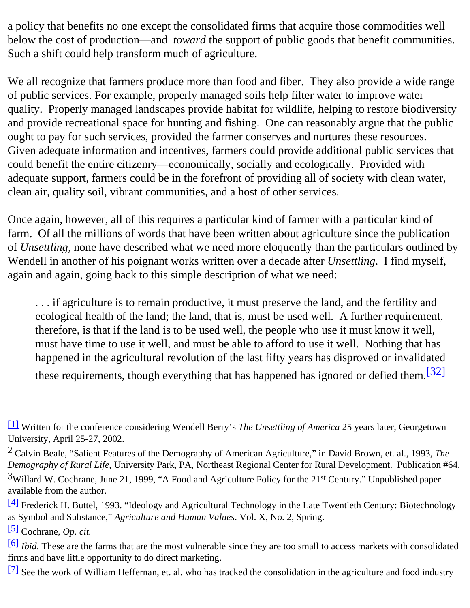a policy that benefits no one except the consolidated firms that acquire those commodities well below the cost of production—and *toward* the support of public goods that benefit communities. Such a shift could help transform much of agriculture.

We all recognize that farmers produce more than food and fiber. They also provide a wide range of public services. For example, properly managed soils help filter water to improve water quality. Properly managed landscapes provide habitat for wildlife, helping to restore biodiversity and provide recreational space for hunting and fishing. One can reasonably argue that the public ought to pay for such services, provided the farmer conserves and nurtures these resources. Given adequate information and incentives, farmers could provide additional public services that could benefit the entire citizenry—economically, socially and ecologically. Provided with adequate support, farmers could be in the forefront of providing all of society with clean water, clean air, quality soil, vibrant communities, and a host of other services.

Once again, however, all of this requires a particular kind of farmer with a particular kind of farm. Of all the millions of words that have been written about agriculture since the publication of *Unsettling*, none have described what we need more eloquently than the particulars outlined by Wendell in another of his poignant works written over a decade after *Unsettling*. I find myself, again and again, going back to this simple description of what we need:

. . . if agriculture is to remain productive, it must preserve the land, and the fertility and ecological health of the land; the land, that is, must be used well. A further requirement, therefore, is that if the land is to be used well, the people who use it must know it well, must have time to use it well, and must be able to afford to use it well. Nothing that has happened in the agricultural revolution of the last fifty years has disproved or invalidated these requirements, though everything that has happened has ignored or defied them.<sup>[32]</sup>

<span id="page-13-7"></span><span id="page-13-0"></span>[<sup>\[1\]</sup>](#page-0-0) Written for the conference considering Wendell Berry's *The Unsettling of America* 25 years later, Georgetown University, April 25-27, 2002.

<span id="page-13-1"></span><sup>2</sup> Calvin Beale, "Salient Features of the Demography of American Agriculture," in David Brown, et. al., 1993, *The Demography of Rural Life*, University Park, PA, Northeast Regional Center for Rural Development. Publication #64.

<span id="page-13-2"></span><sup>&</sup>lt;sup>3</sup>Willard W. Cochrane, June 21, 1999, "A Food and Agriculture Policy for the 21<sup>st</sup> Century." Unpublished paper available from the author.

<span id="page-13-3"></span>[<sup>\[4\]</sup>](#page-1-0) Frederick H. Buttel, 1993. "Ideology and Agricultural Technology in the Late Twentieth Century: Biotechnology as Symbol and Substance," *Agriculture and Human Values*. Vol. X, No. 2, Spring.

<span id="page-13-4"></span>[<sup>\[5\]</sup>](#page-1-1) Cochrane, *Op. cit.* 

<span id="page-13-5"></span>[<sup>\[6\]</sup>](#page-2-0) *Ibid*. These are the farms that are the most vulnerable since they are too small to access markets with consolidated firms and have little opportunity to do direct marketing.

<span id="page-13-6"></span>[<sup>\[7\]</sup>](#page-2-1) See the work of William Heffernan, et. al. who has tracked the consolidation in the agriculture and food industry